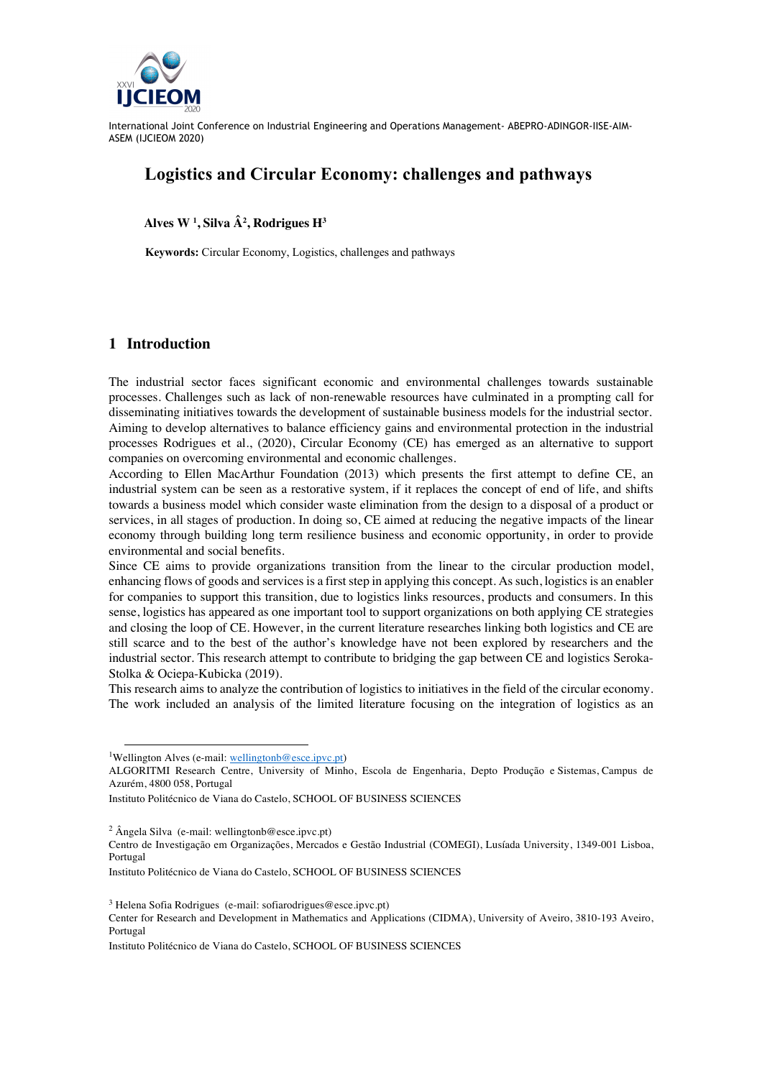

International Joint Conference on Industrial Engineering and Operations Management- ABEPRO-ADINGOR-IISE-AIM-ASEM (IJCIEOM 2020)

# **Logistics and Circular Economy: challenges and pathways**

 **Alves W <sup>1</sup> , Silva Â2 , Rodrigues H3**

**Keywords:** Circular Economy, Logistics, challenges and pathways

## **1 Introduction**

The industrial sector faces significant economic and environmental challenges towards sustainable processes. Challenges such as lack of non-renewable resources have culminated in a prompting call for disseminating initiatives towards the development of sustainable business models for the industrial sector. Aiming to develop alternatives to balance efficiency gains and environmental protection in the industrial processes Rodrigues et al., (2020), Circular Economy (CE) has emerged as an alternative to support companies on overcoming environmental and economic challenges.

According to Ellen MacArthur Foundation (2013) which presents the first attempt to define CE, an industrial system can be seen as a restorative system, if it replaces the concept of end of life, and shifts towards a business model which consider waste elimination from the design to a disposal of a product or services, in all stages of production. In doing so, CE aimed at reducing the negative impacts of the linear economy through building long term resilience business and economic opportunity, in order to provide environmental and social benefits.

Since CE aims to provide organizations transition from the linear to the circular production model, enhancing flows of goods and services is a first step in applying this concept. As such, logistics is an enabler for companies to support this transition, due to logistics links resources, products and consumers. In this sense, logistics has appeared as one important tool to support organizations on both applying CE strategies and closing the loop of CE. However, in the current literature researches linking both logistics and CE are still scarce and to the best of the author's knowledge have not been explored by researchers and the industrial sector. This research attempt to contribute to bridging the gap between CE and logistics Seroka-Stolka & Ociepa-Kubicka (2019).

This research aims to analyze the contribution of logistics to initiatives in the field of the circular economy. The work included an analysis of the limited literature focusing on the integration of logistics as an

Instituto Politécnico de Viana do Castelo, SCHOOL OF BUSINESS SCIENCES

 $2 \text{ Ångela Silva (e-mail: wellingtonb@esce.ipvc pt)}$ 

 $3$  Helena Sofia Rodrigues (e-mail: sofiarodrigues@esce.ipvc.pt)

<sup>&</sup>lt;sup>1</sup>Wellington Alves (e-mail: wellingtonb@esce.ipvc.pt)

ALGORITMI Research Centre, University of Minho, Escola de Engenharia, Depto Produção e Sistemas, Campus de Azurém, 4800 058, Portugal

Centro de Investigação em Organizações, Mercados e Gestão Industrial (COMEGI), Lusíada University, 1349-001 Lisboa, Portugal

Instituto Politécnico de Viana do Castelo, SCHOOL OF BUSINESS SCIENCES

Center for Research and Development in Mathematics and Applications (CIDMA), University of Aveiro, 3810-193 Aveiro, Portugal

Instituto Politécnico de Viana do Castelo, SCHOOL OF BUSINESS SCIENCES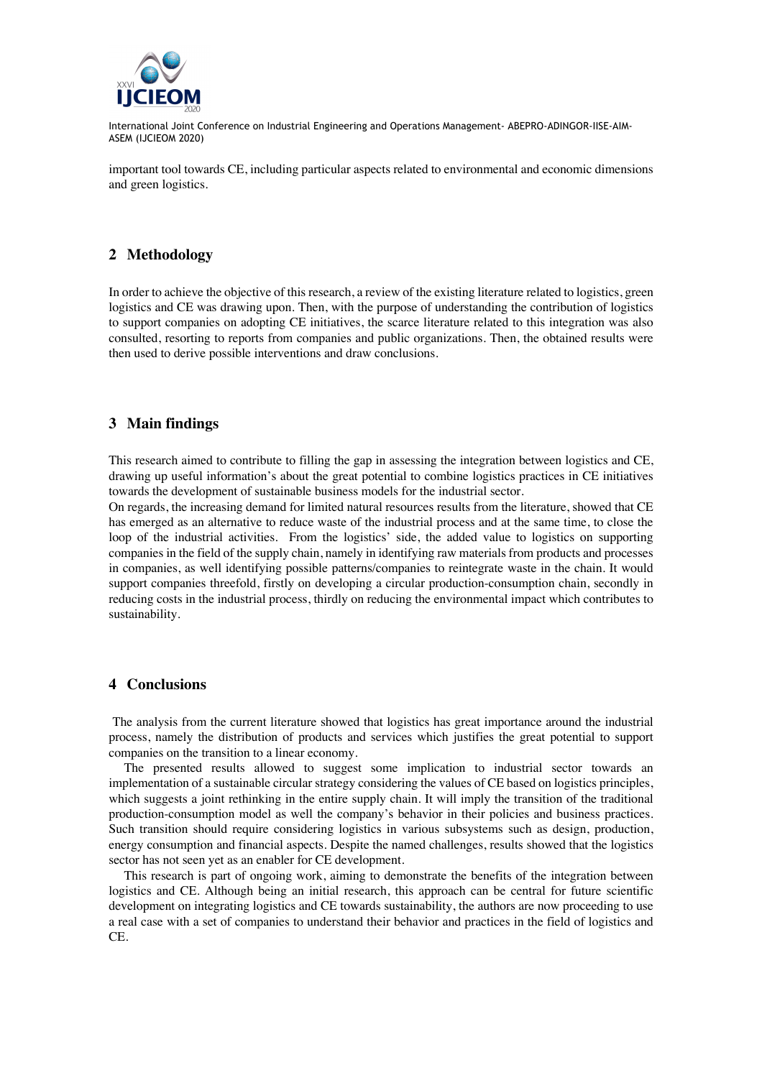

International Joint Conference on Industrial Engineering and Operations Management- ABEPRO-ADINGOR-IISE-AIM-ASEM (IJCIEOM 2020)

important tool towards CE, including particular aspects related to environmental and economic dimensions and green logistics.

# **2 Methodology**

In order to achieve the objective of this research, a review of the existing literature related to logistics, green logistics and CE was drawing upon. Then, with the purpose of understanding the contribution of logistics to support companies on adopting CE initiatives, the scarce literature related to this integration was also consulted, resorting to reports from companies and public organizations. Then, the obtained results were then used to derive possible interventions and draw conclusions.

### **3 Main findings**

This research aimed to contribute to filling the gap in assessing the integration between logistics and CE, drawing up useful information's about the great potential to combine logistics practices in CE initiatives towards the development of sustainable business models for the industrial sector.

On regards, the increasing demand for limited natural resources results from the literature, showed that CE has emerged as an alternative to reduce waste of the industrial process and at the same time, to close the loop of the industrial activities. From the logistics' side, the added value to logistics on supporting companies in the field of the supply chain, namely in identifying raw materials from products and processes in companies, as well identifying possible patterns/companies to reintegrate waste in the chain. It would support companies threefold, firstly on developing a circular production-consumption chain, secondly in reducing costs in the industrial process, thirdly on reducing the environmental impact which contributes to sustainability.

#### **4 Conclusions**

The analysis from the current literature showed that logistics has great importance around the industrial process, namely the distribution of products and services which justifies the great potential to support companies on the transition to a linear economy.

The presented results allowed to suggest some implication to industrial sector towards an implementation of a sustainable circular strategy considering the values of CE based on logistics principles, which suggests a joint rethinking in the entire supply chain. It will imply the transition of the traditional production-consumption model as well the company's behavior in their policies and business practices. Such transition should require considering logistics in various subsystems such as design, production, energy consumption and financial aspects. Despite the named challenges, results showed that the logistics sector has not seen yet as an enabler for CE development.

This research is part of ongoing work, aiming to demonstrate the benefits of the integration between logistics and CE. Although being an initial research, this approach can be central for future scientific development on integrating logistics and CE towards sustainability, the authors are now proceeding to use a real case with a set of companies to understand their behavior and practices in the field of logistics and  $CE$ .